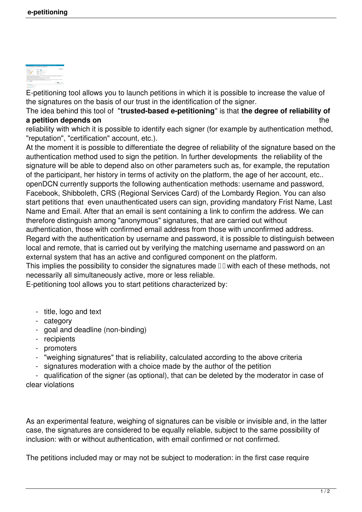

E-petitioning tool allows you to launch petitions in which it is possible to increase the value of the signatures on the basis of our trust in the identification of the signer.

The idea behind this tool of "**trusted-based e-petitioning**" is that **the degree of reliability of a petition depends on** the state of the state of the state of the state of the state of the state of the state of the state of the state of the state of the state of the state of the state of the state of the state of the

reliability with which it is possible to identify each signer (for example by authentication method, "reputation", "certification" account, etc.).

At the moment it is possible to differentiate the degree of reliability of the signature based on the authentication method used to sign the petition. In further developments the reliability of the signature will be able to depend also on other parameters such as, for example, the reputation of the participant, her history in terms of activity on the platform, the age of her account, etc.. openDCN currently supports the following authentication methods: username and password, Facebook, Shibboleth, CRS (Regional Services Card) of the Lombardy Region. You can also start petitions that even unauthenticated users can sign, providing mandatory Frist Name, Last Name and Email. After that an email is sent containing a link to confirm the address. We can therefore distinguish among "anonymous" signatures, that are carried out without authentication, those with confirmed email address from those with unconfirmed address. Regard with the authentication by username and password, it is possible to distinguish between local and remote, that is carried out by verifying the matching username and password on an external system that has an active and configured component on the platform.

This implies the possibility to consider the signatures made  $\Box\Box$  with each of these methods, not necessarily all simultaneously active, more or less reliable.

E-petitioning tool allows you to start petitions characterized by:

- title, logo and text
- category
- goal and deadline (non-binding)
- recipients
- promoters
- "weighing signatures" that is reliability, calculated according to the above criteria
- signatures moderation with a choice made by the author of the petition

 - qualification of the signer (as optional), that can be deleted by the moderator in case of clear violations

As an experimental feature, weighing of signatures can be visible or invisible and, in the latter case, the signatures are considered to be equally reliable, subject to the same possibility of inclusion: with or without authentication, with email confirmed or not confirmed.

The petitions included may or may not be subject to moderation: in the first case require